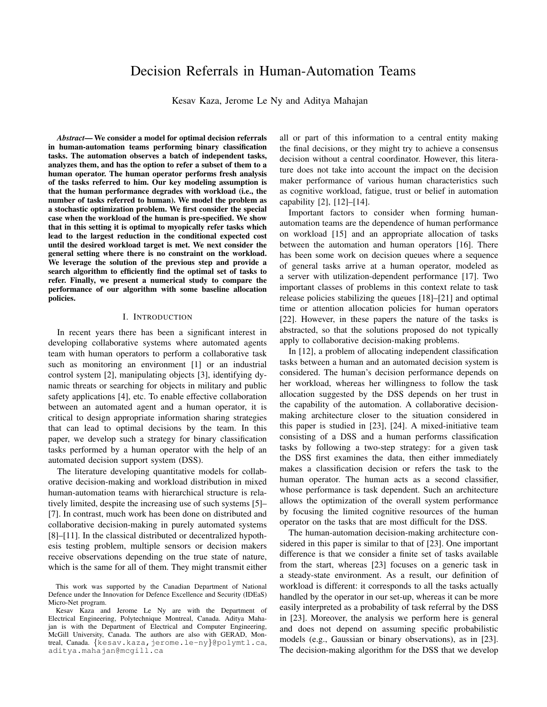# Decision Referrals in Human-Automation Teams

Kesav Kaza, Jerome Le Ny and Aditya Mahajan

*Abstract*— We consider a model for optimal decision referrals in human-automation teams performing binary classification tasks. The automation observes a batch of independent tasks, analyzes them, and has the option to refer a subset of them to a human operator. The human operator performs fresh analysis of the tasks referred to him. Our key modeling assumption is that the human performance degrades with workload (i.e., the number of tasks referred to human). We model the problem as a stochastic optimization problem. We first consider the special case when the workload of the human is pre-specified. We show that in this setting it is optimal to myopically refer tasks which lead to the largest reduction in the conditional expected cost until the desired workload target is met. We next consider the general setting where there is no constraint on the workload. We leverage the solution of the previous step and provide a search algorithm to efficiently find the optimal set of tasks to refer. Finally, we present a numerical study to compare the performance of our algorithm with some baseline allocation policies.

#### I. INTRODUCTION

In recent years there has been a significant interest in developing collaborative systems where automated agents team with human operators to perform a collaborative task such as monitoring an environment [1] or an industrial control system [2], manipulating objects [3], identifying dynamic threats or searching for objects in military and public safety applications [4], etc. To enable effective collaboration between an automated agent and a human operator, it is critical to design appropriate information sharing strategies that can lead to optimal decisions by the team. In this paper, we develop such a strategy for binary classification tasks performed by a human operator with the help of an automated decision support system (DSS).

The literature developing quantitative models for collaborative decision-making and workload distribution in mixed human-automation teams with hierarchical structure is relatively limited, despite the increasing use of such systems [5]– [7]. In contrast, much work has been done on distributed and collaborative decision-making in purely automated systems [8]–[11]. In the classical distributed or decentralized hypothesis testing problem, multiple sensors or decision makers receive observations depending on the true state of nature, which is the same for all of them. They might transmit either all or part of this information to a central entity making the final decisions, or they might try to achieve a consensus decision without a central coordinator. However, this literature does not take into account the impact on the decision maker performance of various human characteristics such as cognitive workload, fatigue, trust or belief in automation capability [2], [12]–[14].

Important factors to consider when forming humanautomation teams are the dependence of human performance on workload [15] and an appropriate allocation of tasks between the automation and human operators [16]. There has been some work on decision queues where a sequence of general tasks arrive at a human operator, modeled as a server with utilization-dependent performance [17]. Two important classes of problems in this context relate to task release policies stabilizing the queues [18]–[21] and optimal time or attention allocation policies for human operators [22]. However, in these papers the nature of the tasks is abstracted, so that the solutions proposed do not typically apply to collaborative decision-making problems.

In [12], a problem of allocating independent classification tasks between a human and an automated decision system is considered. The human's decision performance depends on her workload, whereas her willingness to follow the task allocation suggested by the DSS depends on her trust in the capability of the automation. A collaborative decisionmaking architecture closer to the situation considered in this paper is studied in [23], [24]. A mixed-initiative team consisting of a DSS and a human performs classification tasks by following a two-step strategy: for a given task the DSS first examines the data, then either immediately makes a classification decision or refers the task to the human operator. The human acts as a second classifier, whose performance is task dependent. Such an architecture allows the optimization of the overall system performance by focusing the limited cognitive resources of the human operator on the tasks that are most difficult for the DSS.

The human-automation decision-making architecture considered in this paper is similar to that of [23]. One important difference is that we consider a finite set of tasks available from the start, whereas [23] focuses on a generic task in a steady-state environment. As a result, our definition of workload is different: it corresponds to all the tasks actually handled by the operator in our set-up, whereas it can be more easily interpreted as a probability of task referral by the DSS in [23]. Moreover, the analysis we perform here is general and does not depend on assuming specific probabilistic models (e.g., Gaussian or binary observations), as in [23]. The decision-making algorithm for the DSS that we develop

This work was supported by the Canadian Department of National Defence under the Innovation for Defence Excellence and Security (IDEaS) Micro-Net program.

Kesav Kaza and Jerome Le Ny are with the Department of Electrical Engineering, Polytechnique Montreal, Canada. Aditya Mahajan is with the Department of Electrical and Computer Engineering, McGill University, Canada. The authors are also with GERAD, Montreal, Canada. {kesav.kaza, jerome.le-ny}@polymtl.ca, aditya.mahajan@mcgill.ca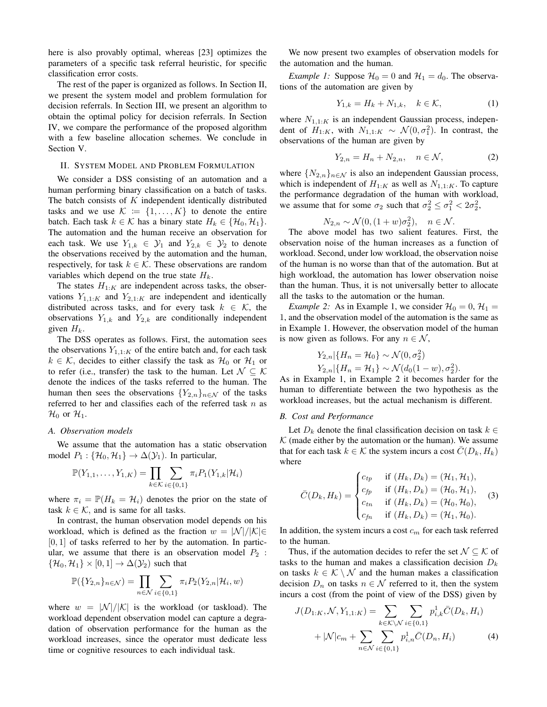here is also provably optimal, whereas [23] optimizes the parameters of a specific task referral heuristic, for specific classification error costs.

The rest of the paper is organized as follows. In Section II, we present the system model and problem formulation for decision referrals. In Section III, we present an algorithm to obtain the optimal policy for decision referrals. In Section IV, we compare the performance of the proposed algorithm with a few baseline allocation schemes. We conclude in Section V.

# II. SYSTEM MODEL AND PROBLEM FORMULATION

We consider a DSS consisting of an automation and a human performing binary classification on a batch of tasks. The batch consists of  $K$  independent identically distributed tasks and we use  $\mathcal{K} := \{1, \ldots, K\}$  to denote the entire batch. Each task  $k \in \mathcal{K}$  has a binary state  $H_k \in \{H_0, H_1\}.$ The automation and the human receive an observation for each task. We use  $Y_{1,k} \in \mathcal{Y}_1$  and  $Y_{2,k} \in \mathcal{Y}_2$  to denote the observations received by the automation and the human, respectively, for task  $k \in \mathcal{K}$ . These observations are random variables which depend on the true state  $H_k$ .

The states  $H_{1:K}$  are independent across tasks, the observations  $Y_{1,1:K}$  and  $Y_{2,1:K}$  are independent and identically distributed across tasks, and for every task  $k \in \mathcal{K}$ , the observations  $Y_{1,k}$  and  $Y_{2,k}$  are conditionally independent given  $H_k$ .

The DSS operates as follows. First, the automation sees the observations  $Y_{1,1:K}$  of the entire batch and, for each task  $k \in \mathcal{K}$ , decides to either classify the task as  $\mathcal{H}_0$  or  $\mathcal{H}_1$  or to refer (i.e., transfer) the task to the human. Let  $\mathcal{N} \subset \mathcal{K}$ denote the indices of the tasks referred to the human. The human then sees the observations  ${Y_{2,n}}_{n \in \mathcal{N}}$  of the tasks referred to her and classifies each of the referred task  $n$  as  $\mathcal{H}_0$  or  $\mathcal{H}_1$ .

#### *A. Observation models*

We assume that the automation has a static observation model  $P_1$  : { $\mathcal{H}_0$ ,  $\mathcal{H}_1$ }  $\rightarrow \Delta(\mathcal{Y}_1)$ . In particular,

$$
\mathbb{P}(Y_{1,1},\ldots,Y_{1,K})=\prod_{k\in\mathcal{K}}\sum_{i\in\{0,1\}}\pi_{i}P_{1}(Y_{1,k}|\mathcal{H}_{i})
$$

where  $\pi_i = \mathbb{P}(H_k = \mathcal{H}_i)$  denotes the prior on the state of task  $k \in \mathcal{K}$ , and is same for all tasks.

In contrast, the human observation model depends on his workload, which is defined as the fraction  $w = |\mathcal{N}|/|\mathcal{K}| \in$  $[0, 1]$  of tasks referred to her by the automation. In particular, we assume that there is an observation model  $P_2$ :  $\{\mathcal{H}_0, \mathcal{H}_1\} \times [0, 1] \rightarrow \Delta(\mathcal{Y}_2)$  such that

$$
\mathbb{P}(\{Y_{2,n}\}_{n\in\mathcal{N}})=\prod_{n\in\mathcal{N}}\sum_{i\in\{0,1\}}\pi_{i}P_{2}(Y_{2,n}|\mathcal{H}_{i},w)
$$

where  $w = |\mathcal{N}|/|\mathcal{K}|$  is the workload (or taskload). The workload dependent observation model can capture a degradation of observation performance for the human as the workload increases, since the operator must dedicate less time or cognitive resources to each individual task.

We now present two examples of observation models for the automation and the human.

*Example 1:* Suppose  $\mathcal{H}_0 = 0$  and  $\mathcal{H}_1 = d_0$ . The observations of the automation are given by

$$
Y_{1,k} = H_k + N_{1,k}, \quad k \in \mathcal{K}, \tag{1}
$$

where  $N_{1,1:K}$  is an independent Gaussian process, independent of  $H_{1:K}$ , with  $N_{1,1:K} \sim \mathcal{N}(0, \sigma_1^2)$ . In contrast, the observations of the human are given by

$$
Y_{2,n} = H_n + N_{2,n}, \quad n \in \mathcal{N}, \tag{2}
$$

where  $\{N_{2,n}\}_{n\in\mathcal{N}}$  is also an independent Gaussian process, which is independent of  $H_{1:K}$  as well as  $N_{1,1:K}$ . To capture the performance degradation of the human with workload, we assume that for some  $\sigma_2$  such that  $\sigma_2^2 \le \sigma_1^2 < 2\sigma_2^2$ ,

$$
N_{2,n} \sim \mathcal{N}(0, (1+w)\sigma_2^2), \quad n \in \mathcal{N}.
$$

The above model has two salient features. First, the observation noise of the human increases as a function of workload. Second, under low workload, the observation noise of the human is no worse than that of the automation. But at high workload, the automation has lower observation noise than the human. Thus, it is not universally better to allocate all the tasks to the automation or the human.

*Example 2:* As in Example 1, we consider  $\mathcal{H}_0 = 0$ ,  $\mathcal{H}_1 =$ 1, and the observation model of the automation is the same as in Example 1. However, the observation model of the human is now given as follows. For any  $n \in \mathcal{N}$ ,

$$
Y_{2,n}|\{H_n = \mathcal{H}_0\} \sim \mathcal{N}(0, \sigma_2^2)
$$
  

$$
Y_{2,n}|\{H_n = \mathcal{H}_1\} \sim \mathcal{N}(d_0(1-w), \sigma_2^2).
$$

As in Example 1, in Example 2 it becomes harder for the human to differentiate between the two hypothesis as the workload increases, but the actual mechanism is different.

#### *B. Cost and Performance*

Let  $D_k$  denote the final classification decision on task  $k \in$  $K$  (made either by the automation or the human). We assume that for each task  $k \in \mathcal{K}$  the system incurs a cost  $\overline{C}(D_k, H_k)$ where

$$
\bar{C}(D_k, H_k) = \begin{cases} c_{tp} & \text{if } (H_k, D_k) = (\mathcal{H}_1, \mathcal{H}_1), \\ c_{fp} & \text{if } (H_k, D_k) = (\mathcal{H}_0, \mathcal{H}_1), \\ c_{tn} & \text{if } (H_k, D_k) = (\mathcal{H}_0, \mathcal{H}_0), \\ c_{fn} & \text{if } (H_k, D_k) = (\mathcal{H}_1, \mathcal{H}_0). \end{cases}
$$
 (3)

In addition, the system incurs a cost  $c_m$  for each task referred to the human.

Thus, if the automation decides to refer the set  $\mathcal{N} \subset \mathcal{K}$  of tasks to the human and makes a classification decision  $D_k$ on tasks  $k \in \mathcal{K} \setminus \mathcal{N}$  and the human makes a classification decision  $D_n$  on tasks  $n \in \mathcal{N}$  referred to it, then the system incurs a cost (from the point of view of the DSS) given by

$$
J(D_{1:K}, \mathcal{N}, Y_{1,1:K}) = \sum_{k \in \mathcal{K} \backslash \mathcal{N}} \sum_{i \in \{0,1\}} p_{i,k}^1 \bar{C}(D_k, H_i) + |\mathcal{N}|c_m + \sum_{n \in \mathcal{N}} \sum_{i \in \{0,1\}} p_{i,n}^1 \bar{C}(D_n, H_i)
$$
 (4)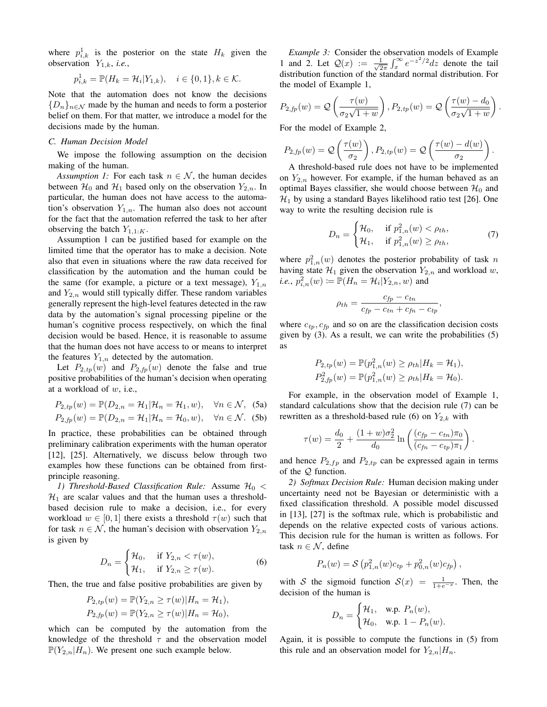where  $p_{i,k}^1$  is the posterior on the state  $H_k$  given the observation  $Y_{1,k}$ , *i.e.*,

$$
p_{i,k}^1 = \mathbb{P}(H_k = \mathcal{H}_i | Y_{1,k}), \quad i \in \{0, 1\}, k \in \mathcal{K}.
$$

Note that the automation does not know the decisions  ${D_n}_{n \in \mathcal{N}}$  made by the human and needs to form a posterior belief on them. For that matter, we introduce a model for the decisions made by the human.

## *C. Human Decision Model*

We impose the following assumption on the decision making of the human.

*Assumption 1:* For each task  $n \in \mathcal{N}$ , the human decides between  $\mathcal{H}_0$  and  $\mathcal{H}_1$  based only on the observation  $Y_{2,n}$ . In particular, the human does not have access to the automation's observation  $Y_{1,n}$ . The human also does not account for the fact that the automation referred the task to her after observing the batch  $Y_{1,1:K}$ .

Assumption 1 can be justified based for example on the limited time that the operator has to make a decision. Note also that even in situations where the raw data received for classification by the automation and the human could be the same (for example, a picture or a text message),  $Y_{1,n}$ and  $Y_{2,n}$  would still typically differ. These random variables generally represent the high-level features detected in the raw data by the automation's signal processing pipeline or the human's cognitive process respectively, on which the final decision would be based. Hence, it is reasonable to assume that the human does not have access to or means to interpret the features  $Y_{1,n}$  detected by the automation.

Let  $P_{2,tp}(w)$  and  $P_{2,fp}(w)$  denote the false and true positive probabilities of the human's decision when operating at a workload of w, i.e.,

$$
P_{2,tp}(w) = \mathbb{P}(D_{2,n} = \mathcal{H}_1 | \mathcal{H}_n = \mathcal{H}_1, w), \quad \forall n \in \mathcal{N}, \text{ (5a)}
$$
  

$$
P_{2,fp}(w) = \mathbb{P}(D_{2,n} = \mathcal{H}_1 | \mathcal{H}_n = \mathcal{H}_0, w), \quad \forall n \in \mathcal{N}. \text{ (5b)}
$$

In practice, these probabilities can be obtained through preliminary calibration experiments with the human operator [12], [25]. Alternatively, we discuss below through two examples how these functions can be obtained from firstprinciple reasoning.

*1) Threshold-Based Classification Rule:* Assume  $\mathcal{H}_0$  <  $\mathcal{H}_1$  are scalar values and that the human uses a thresholdbased decision rule to make a decision, i.e., for every workload  $w \in [0, 1]$  there exists a threshold  $\tau(w)$  such that for task  $n \in \mathcal{N}$ , the human's decision with observation  $Y_{2,n}$ is given by

$$
D_n = \begin{cases} \mathcal{H}_0, & \text{if } Y_{2,n} < \tau(w), \\ \mathcal{H}_1, & \text{if } Y_{2,n} \ge \tau(w). \end{cases} \tag{6}
$$

Then, the true and false positive probabilities are given by

$$
P_{2,tp}(w) = \mathbb{P}(Y_{2,n} \ge \tau(w)|H_n = \mathcal{H}_1),
$$
  
\n
$$
P_{2,fp}(w) = \mathbb{P}(Y_{2,n} \ge \tau(w)|H_n = \mathcal{H}_0),
$$

which can be computed by the automation from the knowledge of the threshold  $\tau$  and the observation model  $\mathbb{P}(Y_{2,n}|H_n)$ . We present one such example below.

*Example 3:* Consider the observation models of Example 1 and 2. Let  $Q(x) := \frac{1}{\sqrt{2}}$  $\frac{1}{2\pi} \int_{x}^{\infty} e^{-z^2/2} dz$  denote the tail distribution function of the standard normal distribution. For the model of Example 1,

$$
P_{2,fp}(w) = \mathcal{Q}\left(\frac{\tau(w)}{\sigma_2\sqrt{1+w}}\right), P_{2,tp}(w) = \mathcal{Q}\left(\frac{\tau(w) - d_0}{\sigma_2\sqrt{1+w}}\right)
$$

.

For the model of Example 2,

$$
P_{2,fp}(w) = \mathcal{Q}\left(\frac{\tau(w)}{\sigma_2}\right), P_{2,tp}(w) = \mathcal{Q}\left(\frac{\tau(w) - d(w)}{\sigma_2}\right).
$$

A threshold-based rule does not have to be implemented on  $Y_{2,n}$  however. For example, if the human behaved as an optimal Bayes classifier, she would choose between  $\mathcal{H}_0$  and  $\mathcal{H}_1$  by using a standard Bayes likelihood ratio test [26]. One way to write the resulting decision rule is

$$
D_n = \begin{cases} \mathcal{H}_0, & \text{if } p_{1,n}^2(w) < \rho_{th}, \\ \mathcal{H}_1, & \text{if } p_{1,n}^2(w) \ge \rho_{th}, \end{cases}
$$
 (7)

where  $p_{1,n}^2(w)$  denotes the posterior probability of task n having state  $\mathcal{H}_1$  given the observation  $Y_{2,n}$  and workload w, *i.e.*,  $p_{i,n}^{\overline{2}}(w) \coloneqq \mathbb{P}(H_n = \mathcal{H}_i | Y_{2,n}, w)$  and

$$
\rho_{th} = \frac{c_{fp} - c_{tn}}{c_{fp} - c_{tn} + c_{fn} - c_{tp}},
$$

where  $c_{tp}, c_{fp}$  and so on are the classification decision costs given by (3). As a result, we can write the probabilities (5) as

$$
P_{2,tp}(w) = \mathbb{P}(p_{1,n}^2(w) \ge \rho_{th}|H_k = \mathcal{H}_1),
$$
  
\n
$$
P_{2,fp}^2(w) = \mathbb{P}(p_{1,n}^2(w) \ge \rho_{th}|H_k = \mathcal{H}_0).
$$

For example, in the observation model of Example 1, standard calculations show that the decision rule (7) can be rewritten as a threshold-based rule (6) on  $Y_{2,k}$  with

$$
\tau(w) = \frac{d_0}{2} + \frac{(1+w)\sigma_2^2}{d_0} \ln \left( \frac{(c_{fp} - c_{tn})\pi_0}{(c_{fn} - c_{tp})\pi_1} \right).
$$

and hence  $P_{2,fp}$  and  $P_{2,tp}$  can be expressed again in terms of the Q function.

*2) Softmax Decision Rule:* Human decision making under uncertainty need not be Bayesian or deterministic with a fixed classification threshold. A possible model discussed in [13], [27] is the softmax rule, which is probabilistic and depends on the relative expected costs of various actions. This decision rule for the human is written as follows. For task  $n \in \mathcal{N}$ , define

$$
P_n(w) = S\left(p_{1,n}^2(w)c_{tp} + p_{0,n}^2(w)c_{fp}\right),
$$

with S the sigmoid function  $S(x) = \frac{1}{1+e^{-x}}$ . Then, the decision of the human is

$$
D_n = \begin{cases} \mathcal{H}_1, & \text{w.p. } P_n(w), \\ \mathcal{H}_0, & \text{w.p. } 1 - P_n(w). \end{cases}
$$

Again, it is possible to compute the functions in (5) from this rule and an observation model for  $Y_{2,n}|H_n$ .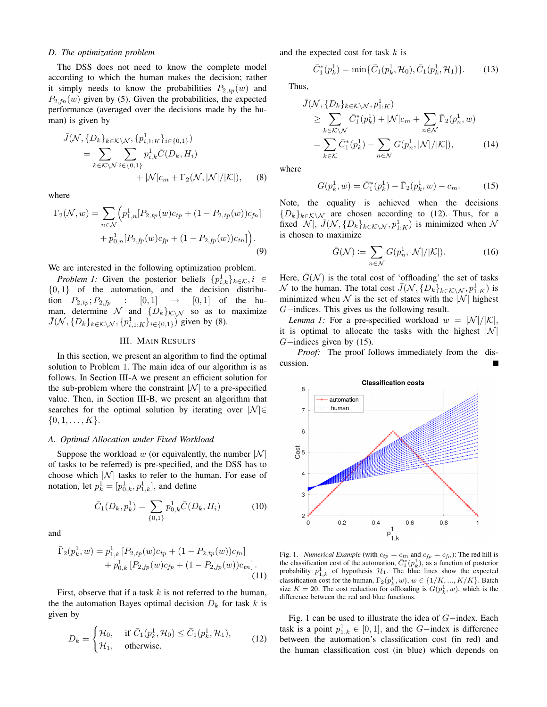## *D. The optimization problem*

The DSS does not need to know the complete model according to which the human makes the decision; rather it simply needs to know the probabilities  $P_{2,tp}(w)$  and  $P_{2,fn}(w)$  given by (5). Given the probabilities, the expected performance (averaged over the decisions made by the human) is given by

$$
\bar{J}(\mathcal{N}, \{D_k\}_{k \in \mathcal{K} \setminus \mathcal{N}}, \{p_{i,1:K}^1\}_{i \in \{0,1\}}) \n= \sum_{k \in \mathcal{K} \setminus \mathcal{N}} \sum_{i \in \{0,1\}} p_{i,k}^1 \bar{C}(D_k, H_i) \n+ |\mathcal{N}|c_m + \Gamma_2(\mathcal{N}, |\mathcal{N}|/|\mathcal{K}|),
$$
\n(8)

where

$$
\Gamma_2(\mathcal{N}, w) = \sum_{n \in \mathcal{N}} \Big( p_{1,n}^1 [P_{2,tp}(w)c_{tp} + (1 - P_{2,tp}(w))c_{fn}] + p_{0,n}^1 [P_{2,fp}(w)c_{fp} + (1 - P_{2,fp}(w))c_{tn}] \Big).
$$
\n(9)

We are interested in the following optimization problem.

*Problem 1:* Given the posterior beliefs  $\{p_{i,k}^1\}_{k \in \mathcal{K}}, i \in$  $\{0, 1\}$  of the automation, and the decision distribution  $P_{2,tp}$ ;  $P_{2,fp}$  :  $[0,1] \rightarrow [0,1]$  of the human, determine N and  $\{D_k\}_{k\in\mathbb{N}}$  so as to maximize  $\bar{J}(\mathcal{N}, \{D_k\}_{k \in \mathcal{K} \setminus \mathcal{N}}, \{p_{i,1:K}^1\}_{i \in \{0,1\}})$  given by (8).

#### III. MAIN RESULTS

In this section, we present an algorithm to find the optimal solution to Problem 1. The main idea of our algorithm is as follows. In Section III-A we present an efficient solution for the sub-problem where the constraint  $|N|$  to a pre-specified value. Then, in Section III-B, we present an algorithm that searches for the optimal solution by iterating over  $|\mathcal{N}| \in$  $\{0, 1, \ldots, K\}.$ 

#### *A. Optimal Allocation under Fixed Workload*

Suppose the workload w (or equivalently, the number  $|\mathcal{N}|$ of tasks to be referred) is pre-specified, and the DSS has to choose which  $|N|$  tasks to refer to the human. For ease of notation, let  $p_k^1 = [p_{0,k}^1, p_{1,k}^1]$ , and define

$$
\bar{C}_1(D_k, p_k^1) = \sum_{\{0,1\}} p_{0,k}^1 \bar{C}(D_k, H_i)
$$
 (10)

and

$$
\bar{\Gamma}_2(p_k^1, w) = p_{1,k}^1 [P_{2,tp}(w)c_{tp} + (1 - P_{2,tp}(w))c_{fn}] + p_{0,k}^1 [P_{2,fp}(w)c_{fp} + (1 - P_{2,fp}(w))c_{tn}].
$$
\n(11)

First, observe that if a task  $k$  is not referred to the human, the the automation Bayes optimal decision  $D_k$  for task k is given by

$$
D_k = \begin{cases} \mathcal{H}_0, & \text{if } \bar{C}_1(p_k^1, \mathcal{H}_0) \le \bar{C}_1(p_k^1, \mathcal{H}_1), \\ \mathcal{H}_1, & \text{otherwise.} \end{cases} \tag{12}
$$

and the expected cost for task  $k$  is

$$
\bar{C}_1^*(p_k^1) = \min{\{\bar{C}_1(p_k^1, \mathcal{H}_0), \bar{C}_1(p_k^1, \mathcal{H}_1)\}}.
$$
 (13)

Thus,

$$
\bar{J}(\mathcal{N}, \{D_k\}_{k \in \mathcal{K} \setminus \mathcal{N}}, p_{1:K}^1) \n\geq \sum_{k \in \mathcal{K} \setminus \mathcal{N}} \bar{C}_1^*(p_k^1) + |\mathcal{N}|c_m + \sum_{n \in \mathcal{N}} \bar{\Gamma}_2(p_n^1, w) \n= \sum_{k \in \mathcal{K}} \bar{C}_1^*(p_k^1) - \sum_{n \in \mathcal{N}} G(p_n^1, |\mathcal{N}|/|\mathcal{K}|),
$$
\n(14)

where

$$
G(p_k^1, w) = \bar{C}_1^*(p_k^1) - \bar{\Gamma}_2(p_k^1, w) - c_m.
$$
 (15)

Note, the equality is achieved when the decisions  ${D_k}_{k \in K\setminus\mathcal{N}}$  are chosen according to (12). Thus, for a fixed  $|\mathcal{N}|$ ,  $\overline{J}(\mathcal{N}, \{D_k\}_{k \in \mathcal{K} \setminus \mathcal{N}}, p_{1:K}^1)$  is minimized when  $\mathcal{N}$ is chosen to maximize

$$
\bar{G}(\mathcal{N}) \coloneqq \sum_{n \in \mathcal{N}} G(p_n^1, |\mathcal{N}| / |\mathcal{K}|). \tag{16}
$$

Here,  $\overline{G}(\mathcal{N})$  is the total cost of 'offloading' the set of tasks N to the human. The total cost  $\bar{J}(\mathcal{N}, \{D_k\}_{k \in \mathcal{K} \setminus \mathcal{N}}, p_{1:K}^1)$  is minimized when  $\mathcal N$  is the set of states with the  $|\mathcal N|$  highest G−indices. This gives us the following result.

*Lemma 1:* For a pre-specified workload  $w = |\mathcal{N}|/|\mathcal{K}|$ , it is optimal to allocate the tasks with the highest  $|N|$  $G$ −indices given by (15).

*Proof:* The proof follows immediately from the discussion.



Fig. 1. *Numerical Example* (with  $c_{tp} = c_{tn}$  and  $c_{fp} = c_{fn}$ ): The red hill is the classification cost of the automation,  $\bar{C}_1^*(p_k^1)$ , as a function of posterior probability  $p_{1,k}^1$  of hypothesis  $\mathcal{H}_1$ . The blue lines show the expected classification cost for the human,  $\overline{\Gamma}_2(p_k^1, w)$ ,  $w \in \{1/K, ..., K/K\}$ . Batch size  $K = 20$ . The cost reduction for offloading is  $G(p_k^1, w)$ , which is the difference between the red and blue functions.

Fig. 1 can be used to illustrate the idea of G−index. Each task is a point  $p_{1,k}^1 \in [0,1]$ , and the *G*-index is difference between the automation's classification cost (in red) and the human classification cost (in blue) which depends on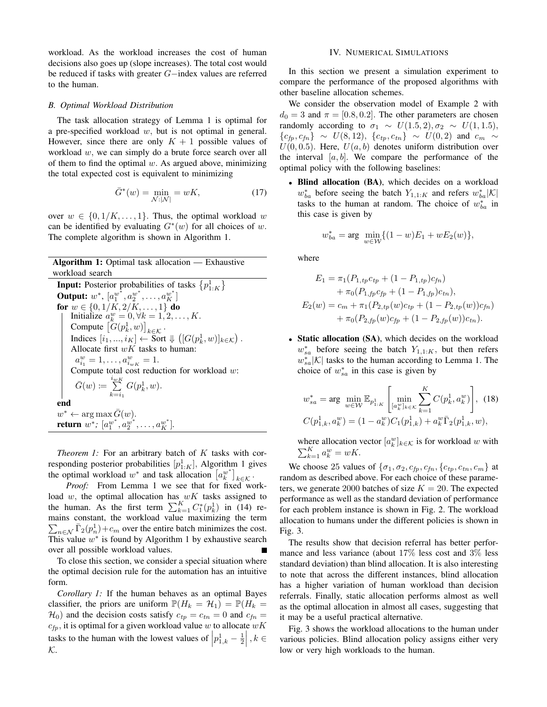workload. As the workload increases the cost of human decisions also goes up (slope increases). The total cost would be reduced if tasks with greater G−index values are referred to the human.

#### *B. Optimal Workload Distribution*

The task allocation strategy of Lemma 1 is optimal for a pre-specified workload w, but is not optimal in general. However, since there are only  $K + 1$  possible values of workload w, we can simply do a brute force search over all of them to find the optimal  $w$ . As argued above, minimizing the total expected cost is equivalent to minimizing

$$
\bar{G}^*(w) = \min_{\mathcal{N}:|\mathcal{N}|} = wK,\tag{17}
$$

over  $w \in \{0, 1/K, \ldots, 1\}$ . Thus, the optimal workload w can be identified by evaluating  $G^*(w)$  for all choices of w. The complete algorithm is shown in Algorithm 1.

# Algorithm 1: Optimal task allocation — Exhaustive workload search **Input:** Posterior probabilities of tasks  ${p_{1:K}^1}$ Output:  $w^*$ ,  $[a_1^{w^*}, a_2^{w^*}, \ldots, a_K^{w^*}]$ for  $w \in \{0, 1/K, 2/K, \ldots, 1\}$  do Initialize  $a_k^w = 0, \forall k = 1, 2, \dots, K$ . Compute  $[G(p_k^1, w)]_{k \in K}$ . Indices  $[i_1, ..., i_K] \leftarrow \text{Sort} \Downarrow ([G(p_k^1, w)]_{k \in \mathcal{K}})$ . Allocate first  $wK$  tasks to human:  $a_{i_1}^w = 1, \ldots, a_{i_{wK}}^w = 1.$ Compute total cost reduction for workload  $w$ :  $\bar{G}(w) \coloneqq \sum^{i_{wK}}$  $k=i_1$  $G(p_k^1, w)$ . end  $w^* \leftarrow \arg \max \bar{G}(w).$

*Theorem 1:* For an arbitrary batch of K tasks with corresponding posterior probabilities  $[p]_{:K}$ , Algorithm 1 gives the optimal workload  $w^*$  and task allocation  $[a_k^{w^*}]_{k \in \mathcal{K}}$ .

**return**  $w^*$ ;  $[a_1^{w^*}, a_2^{w^*}, \ldots, a_K^{w^*}].$ 

*Proof:* From Lemma 1 we see that for fixed workload  $w$ , the optimal allocation has  $wK$  tasks assigned to the human. As the first term  $\sum_{k=1}^{K} C_1^*(p_k^1)$  in (14) remains constant, the workload value maximizing the term  $\sum_{n \in \mathcal{N}} \bar{\Gamma}_2(p_n^1) + c_m$  over the entire batch minimizes the cost. This value  $w^*$  is found by Algorithm 1 by exhaustive search over all possible workload values.

To close this section, we consider a special situation where the optimal decision rule for the automation has an intuitive form.

*Corollary 1:* If the human behaves as an optimal Bayes classifier, the priors are uniform  $\mathbb{P}(H_k = \mathcal{H}_1) = \mathbb{P}(H_k =$  $\mathcal{H}_0$ ) and the decision costs satisfy  $c_{tp} = c_{tn} = 0$  and  $c_{fn} =$  $c_{\mathit{fp}},$  it is optimal for a given workload value  $w$  to allocate  $wK$ tasks to the human with the lowest values of  $\left| p_{1,k}^1 - \frac{1}{2} \right|, k \in \mathbb{Z}$  $\mathcal{K}.$ 

# IV. NUMERICAL SIMULATIONS

In this section we present a simulation experiment to compare the performance of the proposed algorithms with other baseline allocation schemes.

We consider the observation model of Example 2 with  $d_0 = 3$  and  $\pi = [0.8, 0.2]$ . The other parameters are chosen randomly according to  $\sigma_1 \sim U(1.5, 2), \sigma_2 \sim U(1, 1.5)$ ,  ${c_{fp}, c_{fn}} \sim U(8, 12), {c_{tp}, c_{tn}} \sim U(0, 2) \text{ and } c_m \sim$  $U(0, 0.5)$ . Here,  $U(a, b)$  denotes uniform distribution over the interval  $[a, b]$ . We compare the performance of the optimal policy with the following baselines:

• Blind allocation (BA), which decides on a workload  $w_{ba}^*$  before seeing the batch  $Y_{1,1:K}$  and refers  $w_{ba}^*|K|$ tasks to the human at random. The choice of  $w_{ba}^*$  in this case is given by

$$
w_{ba}^* = \arg \ \min_{w \in \mathcal{W}} \{ (1 - w)E_1 + wE_2(w) \},\
$$

where

$$
E_1 = \pi_1 (P_{1,tp} c_{tp} + (1 - P_{1,tp}) c_{fn})
$$
  
+  $\pi_0 (P_{1,fp} c_{fp} + (1 - P_{1,fp}) c_{tn}),$   

$$
E_2(w) = c_m + \pi_1 (P_{2,tp}(w) c_{tp} + (1 - P_{2,tp}(w)) c_{fn})
$$
  
+  $\pi_0 (P_{2,fp}(w) c_{fp} + (1 - P_{2,fp}(w)) c_{tn}).$ 

• Static allocation (SA), which decides on the workload  $w_{sa}^*$  before seeing the batch  $Y_{1,1:K}$ , but then refers  $w_{sa}^*|K|$  tasks to the human according to Lemma 1. The choice of  $w_{sa}^*$  in this case is given by

$$
w_{sa}^{*} = \arg \min_{w \in \mathcal{W}} \mathbb{E}_{p_{1:K}^{1}} \left[ \min_{[a_{k}^{w}]_{k \in \mathcal{K}}} \sum_{k=1}^{K} C(p_{k}^{1}, a_{k}^{w}) \right], (18)
$$

$$
C(p_{1,k}^{1}, a_{k}^{w}) = (1 - a_{k}^{w})C_{1}(p_{1,k}^{1}) + a_{k}^{w} \bar{\Gamma}_{2}(p_{1,k}^{1}, w),
$$

where allocation vector  $[a_k^w]_{k \in \mathcal{K}}$  is for workload w with  $\sum_{k=1}^K a_k^w = wK.$ 

We choose 25 values of  $\{\sigma_1, \sigma_2, c_{fp}, c_{fn}, \{c_{tp}, c_{tn}, c_m\}$  at random as described above. For each choice of these parameters, we generate 2000 batches of size  $K = 20$ . The expected performance as well as the standard deviation of performance for each problem instance is shown in Fig. 2. The workload allocation to humans under the different policies is shown in Fig. 3.

The results show that decision referral has better performance and less variance (about 17% less cost and 3% less standard deviation) than blind allocation. It is also interesting to note that across the different instances, blind allocation has a higher variation of human workload than decision referrals. Finally, static allocation performs almost as well as the optimal allocation in almost all cases, suggesting that it may be a useful practical alternative.

Fig. 3 shows the workload allocations to the human under various policies. Blind allocation policy assigns either very low or very high workloads to the human.